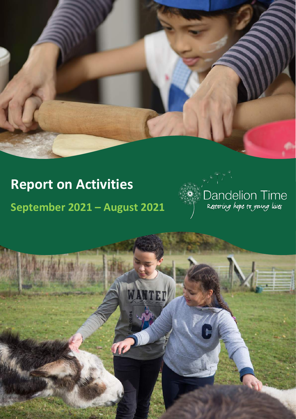# **Report on Activities**

**September 2021 – August 2021**



Report on Activities 2020-2021

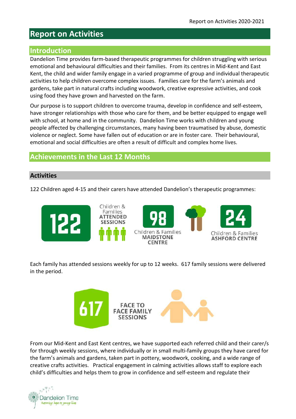# **Report on Activities**

#### **Introduction**

Dandelion Time provides farm-based therapeutic programmes for children struggling with serious emotional and behavioural difficulties and their families. From its centres in Mid-Kent and East Kent, the child and wider family engage in a varied programme of group and individual therapeutic activities to help children overcome complex issues. Families care for the farm's animals and gardens, take part in natural crafts including woodwork, creative expressive activities, and cook using food they have grown and harvested on the farm.

Our purpose is to support children to overcome trauma, develop in confidence and self-esteem, have stronger relationships with those who care for them, and be better equipped to engage well with school, at home and in the community. Dandelion Time works with children and young people affected by challenging circumstances, many having been traumatised by abuse, domestic violence or neglect. Some have fallen out of education or are in foster care. Their behavioural, emotional and social difficulties are often a result of difficult and complex home lives.

# **Achievements in the Last 12 Months**

#### **Activities**

122 Children aged 4-15 and their carers have attended Dandelion's therapeutic programmes:



Each family has attended sessions weekly for up to 12 weeks. 617 family sessions were delivered in the period.



From our Mid-Kent and East Kent centres, we have supported each referred child and their carer/s for through weekly sessions, where individually or in small multi-family groups they have cared for the farm's animals and gardens, taken part in pottery, woodwork, cooking, and a wide range of creative crafts activities. Practical engagement in calming activities allows staff to explore each child's difficulties and helps them to grow in confidence and self-esteem and regulate their

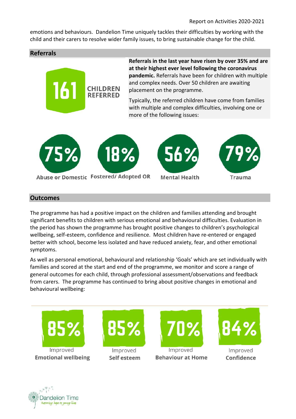emotions and behaviours. Dandelion Time uniquely tackles their difficulties by working with the child and their carers to resolve wider family issues, to bring sustainable change for the child.

#### **Referrals**



**Referrals in the last year have risen by over 35% and are at their highest ever level following the coronavirus pandemic.** Referrals have been for children with multiple and complex needs. Over 50 children are awaiting placement on the programme.

Typically, the referred children have come from families with multiple and complex difficulties, involving one or more of the following issues:



Abuse or Domestic Fostered/Adopted OR



**Mental Health** 



#### **Outcomes**

The programme has had a positive impact on the children and families attending and brought significant benefits to children with serious emotional and behavioural difficulties. Evaluation in the period has shown the programme has brought positive changes to children's psychological wellbeing, self-esteem, confidence and resilience. Most children have re-entered or engaged better with school, become less isolated and have reduced anxiety, fear, and other emotional symptoms.

As well as personal emotional, behavioural and relationship 'Goals' which are set individually with families and scored at the start and end of the programme, we monitor and score a range of general outcomes for each child, through professional assessment/observations and feedback from carers. The programme has continued to bring about positive changes in emotional and behavioural wellbeing:



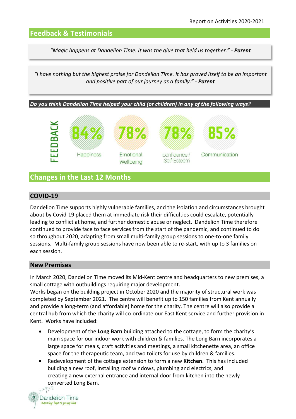#### **Feedback & Testimonials**

*"Magic happens at Dandelion Time. It was the glue that held us together." - Parent*

*"I have nothing but the highest praise for Dandelion Time. It has proved itself to be an important and positive part of our journey as a family." - Parent*

*Do you think Dandelion Time helped your child (or children) in any of the following ways?* 



### **Changes in the Last 12 Months**

#### **COVID-19**

Dandelion Time supports highly vulnerable families, and the isolation and circumstances brought about by Covid-19 placed them at immediate risk their difficulties could escalate, potentially leading to conflict at home, and further domestic abuse or neglect. Dandelion Time therefore continued to provide face to face services from the start of the pandemic, and continued to do so throughout 2020, adapting from small multi-family group sessions to one-to-one family sessions. Multi-family group sessions have now been able to re-start, with up to 3 families on each session.

#### **New Premises**

In March 2020, Dandelion Time moved its Mid-Kent centre and headquarters to new premises, a small cottage with outbuildings requiring major development.

Works began on the building project in October 2020 and the majority of structural work was completed by September 2021. The centre will benefit up to 150 families from Kent annually and provide a long-term (and affordable) home for the charity. The centre will also provide a central hub from which the charity will co-ordinate our East Kent service and further provision in Kent. Works have included:

- Development of the **Long Barn** building attached to the cottage, to form the charity's main space for our indoor work with children & families. The Long Barn incorporates a large space for meals, craft activities and meetings, a small kitchenette area, an office space for the therapeutic team, and two toilets for use by children & families.
- Redevelopment of the cottage extension to form a new **Kitchen**. This has included building a new roof, installing roof windows, plumbing and electrics, and creating a new external entrance and internal door from kitchen into the newly converted Long Barn.